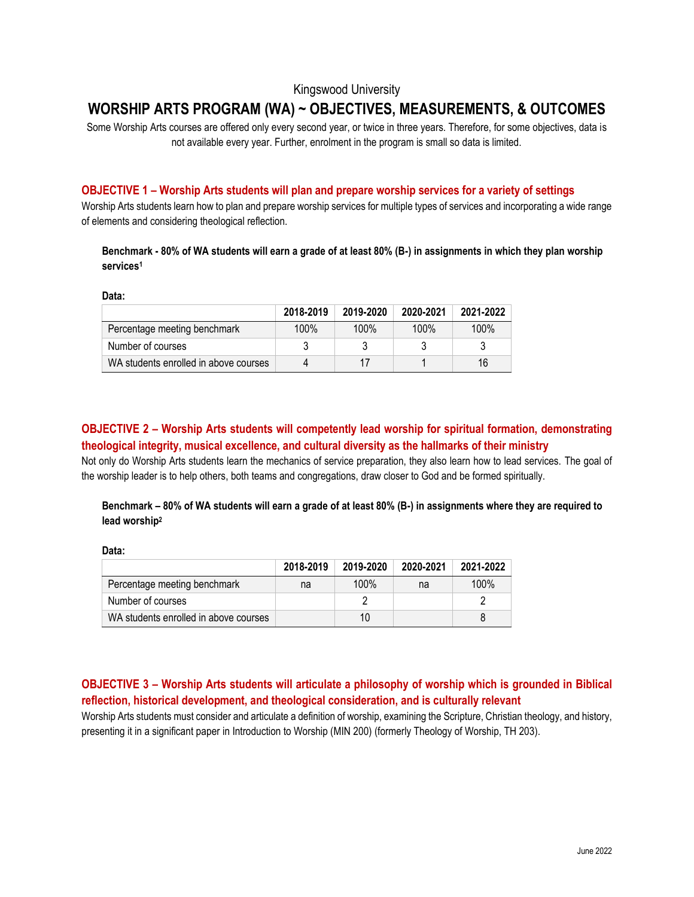## Kingswood University

# **WORSHIP ARTS PROGRAM (WA) ~ OBJECTIVES, MEASUREMENTS, & OUTCOMES**

Some Worship Arts courses are offered only every second year, or twice in three years. Therefore, for some objectives, data is not available every year. Further, enrolment in the program is small so data is limited.

#### **OBJECTIVE 1 – Worship Arts students will plan and prepare worship services for a variety of settings**

Worship Arts students learn how to plan and prepare worship services for multiple types of services and incorporating a wide range of elements and considering theological reflection.

### **Benchmark - 80% of WA students will earn a grade of at least 80% (B-) in assignments in which they plan worship services<sup>1</sup>**

**Data:**

|                                       | 2018-2019 | 2019-2020 | 2020-2021 | 2021-2022 |
|---------------------------------------|-----------|-----------|-----------|-----------|
| Percentage meeting benchmark          | 100%      | 100%      | $100\%$   | 100%      |
| Number of courses                     |           |           |           |           |
| WA students enrolled in above courses |           | 17        |           | 16        |

## **OBJECTIVE 2 – Worship Arts students will competently lead worship for spiritual formation, demonstrating theological integrity, musical excellence, and cultural diversity as the hallmarks of their ministry**

Not only do Worship Arts students learn the mechanics of service preparation, they also learn how to lead services. The goal of the worship leader is to help others, both teams and congregations, draw closer to God and be formed spiritually.

## **Benchmark – 80% of WA students will earn a grade of at least 80% (B-) in assignments where they are required to lead worship<sup>2</sup>**

**Data:**

|                                       | 2018-2019 | 2019-2020 | 2020-2021 | 2021-2022 |
|---------------------------------------|-----------|-----------|-----------|-----------|
| Percentage meeting benchmark          | na        | 100%      | na        | 100%      |
| Number of courses                     |           |           |           |           |
| WA students enrolled in above courses |           | 10        |           |           |

# **OBJECTIVE 3 – Worship Arts students will articulate a philosophy of worship which is grounded in Biblical reflection, historical development, and theological consideration, and is culturally relevant**

Worship Arts students must consider and articulate a definition of worship, examining the Scripture, Christian theology, and history, presenting it in a significant paper in Introduction to Worship (MIN 200) (formerly Theology of Worship, TH 203).